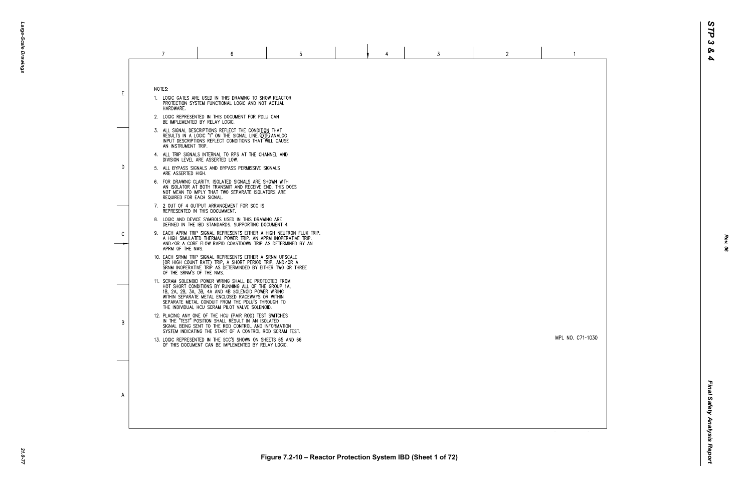MPL NO. C71-1030

 $\overline{1}$ 

NOTES:

E

D

 $\mathcal{C}$ 

B

 $\overline{A}$ 

- 1. LOGIC GATES ARE USED IN THIS DRAWING TO SHOW REACTOR PROTECTION SYSTEM FUNCTIONAL LOGIC AND NOT ACTUAL HARDWARE.
- 2. LOGIC REPRESENTED IN THIS DOCUMENT FOR PDLU CAN BE IMPLEMENTED BY RELAY LOGIC.
- 3. ALL SIGNAL DESCRIPTIONS REFLECT THE CONDITION THAT<br>RESULTS IN A LOGIC "1" ON THE SIGNAL LINE. QTF) ANALOG<br>INPUT DESCRIPTIONS REFLECT CONDITIONS THAT WILL CAUSE AN INSTRUMENT TRIP.
- 4. ALL TRIP SIGNALS INTERNAL TO RPS AT THE CHANNEL AND DIVISION LEVEL ARE ASSERTED LOW.
- 5. ALL BYPASS SIGNALS AND BYPASS PERMISSIVE SIGNALS ARE ASSERTED HIGH.
- 6. FOR DRAWING CLARITY. ISOLATED SIGNALS ARE SHOWN WITH AN ISOLATOR AT BOTH TRANSMIT AND RECEIVE END. THIS DOES NOT MEAN TO IMPLY THAT TWO SEPARATE ISOLATORS ARE REQUIRED FOR EACH SIGNAL.
- 7. 2 OUT OF 4 OUTPUT ARRANGEMENT FOR SCC IS REPRESENTED IN THIS DOCUMMENT.
- 8. LOGIC AND DEVICE SYMBOLS USED IN THIS DRAWING ARE DEFINED IN THE IBD STANDARDS. SUPPORTING DOCUMENT 4.
- 9. EACH APRM TRIP SIGNAL REPRESENTS EITHER A HIGH NEUTRON FLUX TRIP. A HIGH SIMULATED THERMAL POWER TRIP. AN APRM INOPERATIVE TRIP. AND/OR A CORE FLOW RAPID COASTDOWN TRIP AS DETERMINED BY AN APRM OF THE NMS.
- 10. EACH SRNM TRIP SIGNAL REPRESENTS EITHER A SRNM UPSCALE<br>(OR HIGH COUNT RATE) TRIP, A SHORT PERIOD TRIP, AND⁄OR A<br>SRNM INOPERATIVE TRIP AS DETERMINDED BY EITHER TWO OR THREE OF THE SRNM'S OF THE NMS.
- 11. SCRAM SOLENOID POWER WIRING SHALL BE PROTECTED FROM HOT SHORT CONDITIONS BY RUNNING ALL OF THE GROUP 1A, 1B, 2A, 2B, 3A, 3B, 4A AND 4B SOLENOID POWER WIRING WITHIN SEPARATE METAL ENCLOSED RACEWAYS OR WITHIN SEPARATE METAL CONDUIT FROM THE PDLU'S THROUGH TO THE INDIVIDUAL HCU SCRAM PILOT VALVE SOLENOID.
- 12. PLACING ANY ONE OF THE HCU (PAIR ROD) TEST SWITCHES<br>IN THE "TEST" POSITION SHALL RESULT IN AN ISOLATED SIGNAL BEING SENT TO THE ROD CONTROL AND INFORMATION SYSTEM INDICATING THE START OF A CONTROL ROD SCRAM TEST.
- 13. LOGIC REPRESENTED IN THE SCC'S SHOWN ON SHEETS 65 AND 66 OF THIS DOCUMENT CAN BE IMPLEMENTED BY RELAY LOGIC.

*Rev. 06*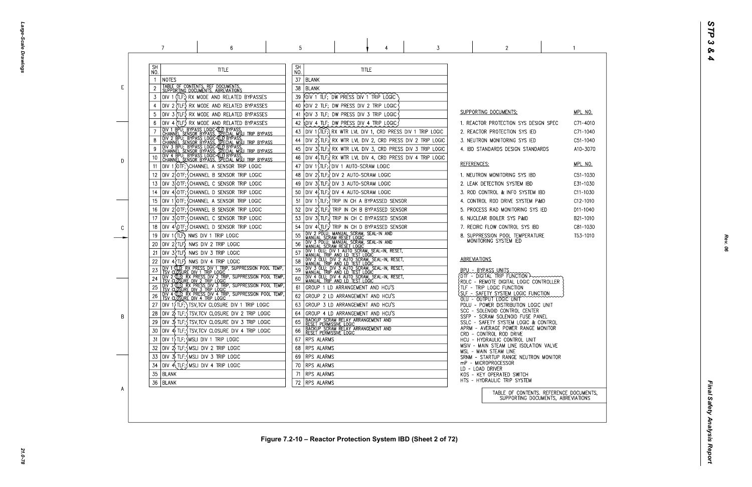Large-Scale Drawings *Large-Scale Drawings*

|   | 7                                                                                                                                                                                                                                                                                    | 6                                                                                                                                                                                                                                                                                                                                                                                                                                                                                                                                                                     | 5                                                                                                                 |                                                                                                                                                                                                                                                                                                                                                                                                                                                                 |              | 3 | 2                                                                                                                                                                                                                                                                                                                                                                                                                                                                                                                                                                   |  |
|---|--------------------------------------------------------------------------------------------------------------------------------------------------------------------------------------------------------------------------------------------------------------------------------------|-----------------------------------------------------------------------------------------------------------------------------------------------------------------------------------------------------------------------------------------------------------------------------------------------------------------------------------------------------------------------------------------------------------------------------------------------------------------------------------------------------------------------------------------------------------------------|-------------------------------------------------------------------------------------------------------------------|-----------------------------------------------------------------------------------------------------------------------------------------------------------------------------------------------------------------------------------------------------------------------------------------------------------------------------------------------------------------------------------------------------------------------------------------------------------------|--------------|---|---------------------------------------------------------------------------------------------------------------------------------------------------------------------------------------------------------------------------------------------------------------------------------------------------------------------------------------------------------------------------------------------------------------------------------------------------------------------------------------------------------------------------------------------------------------------|--|
|   | SH<br>NO.<br> NOTES                                                                                                                                                                                                                                                                  | <b>TITLE</b>                                                                                                                                                                                                                                                                                                                                                                                                                                                                                                                                                          | <b>SH</b><br>NO.<br>37<br>  BLANK                                                                                 |                                                                                                                                                                                                                                                                                                                                                                                                                                                                 | <b>TITLE</b> |   |                                                                                                                                                                                                                                                                                                                                                                                                                                                                                                                                                                     |  |
| E | TABLE OF CONTENTS, REF DOCUMENTS,<br>SUPPORTING DOCUMENTS, ABREVIATIONS<br>3                                                                                                                                                                                                         | DIV 1 (TLF;) RX MODE AND RELATED BYPASSES<br>DIV 2 (TLF.) RX MODE AND RELATED BYPASSES<br>DIV 3 (TLF) RX MODE AND RELATED BYPASSES                                                                                                                                                                                                                                                                                                                                                                                                                                    | 38<br>BLANK<br>39<br>40                                                                                           | FDIV 1 TLF; DW PRESS DIV 1 TRIP LOGIC<br>DIV 2 TLF; DW PRESS DIV 2 TRIP LOGIC<br>DIV 3 TLF; DW PRESS DIV 3 TRIP LOGIC                                                                                                                                                                                                                                                                                                                                           |              |   | SUPPORTING DOCUMENTS:                                                                                                                                                                                                                                                                                                                                                                                                                                                                                                                                               |  |
| D | 10<br>11<br>12 <sup>12</sup><br>13<br>14                                                                                                                                                                                                                                             | DIV 4 (TLF.) RX MODE AND RELATED BYPASSES<br>TOIV 1 BPU; BYPASS LOGIC (TIP BYPASS,<br>  CHANNEL_SENSOR_BYPASS, SPECIAL_MSLI_TRIP_BYPASS<br>  DIV_2_BPU;_BYPASS_LOGIC (TIP BYPASS, SPECIAL_MSLI_TRIP_BYPASS<br>  CHANNEL_SENSOR_BYPASS, SPECIAL_MSLI_TRIP_BYPASS<br>  CHANNEL_SENSOR_BYP<br>DIV 4 BPU; BYPASS LOGIC 4LD BYPASS.<br>CHANNEL SENSOR BYPASS, SPECIAL MSLI TRIP BYPASS.<br>DIV 1 DIF; CHANNEL A SENSOR TRIP LOGIC<br>DIV 2>DTF; CHANNEL B SENSOR TRIP LOGIC<br>DIV 3>DTF; SCHANNEL C SENSOR TRIP LOGIC<br>DIV 4 DTF; CHANNEL D SENSOR TRIP LOGIC           | 42<br>43<br>44<br>45<br>46<br>47<br>48<br>49<br>50                                                                | OIV 4 TLF; DW PRESS DIV 4 TRIP LOGIC<br>DIV 1 $\overline{ILF}$ RX WTR LVL DIV 1, CRD PRESS DIV 1 TRIP LOGIC<br>DIV $2\$ TLF; $\}$ RX WTR LVL DIV 2, CRD PRESS DIV 2 TRIP LOGIC<br>DIV 3\$TLF; RX WTR LVL DIV 3, CRD PRESS DIV 3 TRIP LOGIC<br>DIV 4\TLF;\ RX WTR LVL DIV 4, CRD PRESS DIV 4 TRIP LOGIC<br>DIV 1 STLF; OIV 1 AUTO-SCRAM LOGIC<br> DIV 2\$TLF;{DIV 2 AUTO-SCRAM LOGIC<br>DIV 3(TLF;) DIV 3 AUTO-SCRAM LOGIC<br>DIV 4, TLF; OIV 4 AUTO-SCRAM LOGIC |              |   | 1. REACTOR PROTECTION SYS DESIGN SPE<br>2. REACTOR PROTECTION SYS IED<br>3. NEUTRON MONITORING SYS IED<br>4. IBD STANDARDS DESIGN STANDARDS<br><b>REFERENCES:</b><br>1. NEUTRON MONITORING SYS IBD<br>2. LEAK DETECTION SYSTEM IBD<br>3. ROD CONTROL & INFO SYSTEM IBD                                                                                                                                                                                                                                                                                              |  |
| C | 15<br>16<br>17<br>18<br>DIV 1 (TLF) NMS DIV 1 TRIP LOGIC<br>19<br>$DIV$ 2 $TLF$ NMS DIV 2 TRIP LOGIC<br>20<br>DIV 3?TLF) NMS DIV 3 TRIP LOGIC<br>21<br>$DIV 4$ $TLF$ ) NMS DIV 4 TRIP LOGIC                                                                                          | DIV 1 OTF; CHANNEL A SENSOR TRIP LOGIC<br>DIV 2 DTF; CHANNEL B SENSOR TRIP LOGIC<br>DIV 3 DTF; CHANNEL C SENSOR TRIP LOGIC<br>DIV 4\DTF; CHANNEL D SENSOR TRIP LOGIC                                                                                                                                                                                                                                                                                                                                                                                                  | 51<br>52<br>53<br>54<br>55<br>56<br>57<br>58                                                                      | DIV 1(TLF; TRIP IN CH A BYPASSED SENSOR<br>DIV 2 (TLF:) TRIP IN CH B BYPASSED SENSOR<br>DIV 3(TLF;) TRIP IN CH C BYPASSED SENSOR<br>DIV 4(TLF;) TRIP IN CH D BYPASSED SENSOR<br>DIV 2 POLU; MANUAL SCRAM, SEAL-IN AND<br>MANUAL SCRAM RESET LOGIC<br>DIV 3 PDLU; MANUAL SCRAM, SEAL-IN AND<br>MANUAL SCRAM RESET LOGIC<br>DIV 1 OLU; DIV 1 AUTO SCRAM, SEAL-IN, RESET,<br>MANUAL TRIP AND LD TEST LOGIC<br>DIV 2 OLU; DIV 2 AUTO SCRAM, SEAL-IN, RESET,         |              |   | 4. CONTROL ROD DRIVE SYSTEM P&ID<br>5. PROCESS RAD MONITORING SYS IED<br>6. NUCLEAR BOILER SYS P&ID<br>7. RECIRC FLOW CONTROL SYS IBD<br>8. SUPPRESSION POOL TEMPERATURE<br>MONITORING SYSTEM IED<br><b>ABREVIATIONS</b>                                                                                                                                                                                                                                                                                                                                            |  |
| B | <u>TSV CLOSURE DIV 1 TRIP LOGIC</u><br>24<br>27<br>28<br>29<br>30<br>$ $ DIV 1 $\overline{\ }$ TLF; $\overline{\ }$ MSLI DIV 1 TRIP LOGIC<br>31<br>$ $ DIV $2\rangle$ TLF; $\zeta$ MSLI DIV 2 TRIP LOGIC<br>32<br>$ D V \rightrightarrows$ TLF; $\wedge$ MSLI DIV 3 TRIP LOGIC<br>33 | DIV 1 TLP, RX PRESS DIV 1 TRIP, SUPPRESSION POOL TEMP,<br>DIV 2 JLP, RX PRESS DIV 2 TRIP, SUPPRESSION POOL TEMP,<br>DIV 3 (TLP), RX PRESS DIV 3 TRIP, SUPPRESSION POOL TEMP,<br>TSV CLOSURE DIV 3 TRIP LOGIC<br>DIV 4 GLD, RX PRESS DIV 4 TRIP, SUPPRESSION POOL TEMP,<br>TSV CLOSURE DIV 4 TRIP LOGIC<br>$ $ DIV 1 $\{$ TLF; $\}$ TSV, TCV CLOSURE DIV 1 TRIP LOGIC<br>$ $ div $2/$ TLF; $\zeta$ TSV,TCV CLOSURE DIV 2 TRIP LOGIC<br> DIV 3\$ TLF;{ TSV,TCV CLOSURE DIV 3 TRIP LOGIC<br>$ D V $ 4 $\frac{1}{2}$ TLF; $\frac{1}{2}$ TSV, TCV CLOSURE DIV 4 TRIP LOGIC | 59<br>60<br>61<br>62<br>63<br>64<br>65<br>66<br>RPS ALARMS<br>67<br><b>IRPS ALARMS</b><br>68.<br>RPS ALARMS<br>69 | DIV 3 OLU; DIV 3 AUTO SCRAM, SEAL-IN, RESET,<br>MANUAL TRIP AND LD TEST LOGIC<br>DIV 4 OLU; DIV 4 AUTO SCRAM, SEAL-IN, RESET,<br>MANUAL TRIP AND LD TEST LOGIC<br>GROUP 1 LD ARRANGEMENT AND HCU'S<br>GROUP 2 LD ARRANGEMENT AND HCU'S<br>GROUP 3 LD ARRANGEMENT AND HCU'S<br>GROUP 4 LD ARRANGEMENT AND HCU'S<br>TBACKUP SCRAM RELAY ARRANGEMENT AND<br>TRESET PERMISSIVE LOGIC<br>TBACKUP SCRAM RELAY ARRANGEMENT AND<br>TRESET PERMISSIVE LOGIC              |              |   | BPU - BYPASS UNITS<br>{DTF - DIGITAL TRIP FUNCTION >>>>>>>>><br>{RDLC - REMOTE DIGITAL LOGIC CONTROLLE<br>TLF - TRIP LOGIC FUNCTION<br>SLF - SAFETY SYSTEM LOGIC FUNCTION<br>OLU - OUTPUT LOGIC UNIT<br>PDLU - POWER DISTRIBUTION LOGIC UNIT<br>SCC - SOLENOID CONTROL CENTER<br>SSFP - SCRAM SOLENOID FUSE PANEL<br>SSLC - SAFETY SYSTEM LOGIC & CONTROL<br>APRM - AVERAGE POWER RANGE MONITOR<br>CRD - CONTROL ROD DRIVE<br>HCU - HYDRAULIC CONTROL UNIT<br>MSIV - MAIN STEAM LINE ISOLATION VALVI<br>MSL - MAIN STEAM LINE<br>SRNM - STARTUP RANGE NEUTRON MONIT |  |
| A | $DIV$ 4 $\{TE; \}$ MSLI DIV 4 TRIP LOGIC<br>34<br>35<br>BLANK<br>36   BLANK                                                                                                                                                                                                          |                                                                                                                                                                                                                                                                                                                                                                                                                                                                                                                                                                       | RPS ALARMS<br>70<br>71<br><b>RPS ALARMS</b><br>72 RPS ALARMS                                                      |                                                                                                                                                                                                                                                                                                                                                                                                                                                                 |              |   | mP - MICROPROCESSOR<br>LD - LOAD DRIVER<br>KOS - KEY OPERATED SWITCH<br>HTS - HYDRAULIC TRIP SYSTEM<br>TABLE OF CONTENTS. REFER<br>SUPPORTING DOCUMENTS                                                                                                                                                                                                                                                                                                                                                                                                             |  |

| - (           | <u>MPL NO.</u><br>C71-4010<br>C71-1040<br>C51-1040<br>A10-3070                                          |
|---------------|---------------------------------------------------------------------------------------------------------|
|               | MPL NO.<br>C51-1030<br>E31-1030<br>C11-1030<br>C12-1010<br>D11-1040<br>B21-1010<br>C81-1030<br>T53-1010 |
| .ER           |                                                                                                         |
| $\mathcal{C}$ |                                                                                                         |
| νE<br>TOR     |                                                                                                         |
| S,            | RENCE DOCUMENTS <mark>,</mark><br>S, ABREVIATIONS                                                       |

 $\sim$  1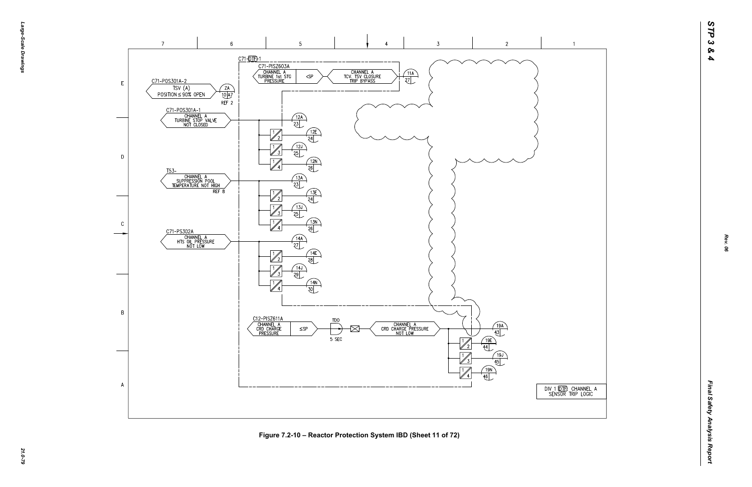-эбле-*Large-Scale Drawings* -Scale Drawings



Figure 7.2-10 – Reactor Protection System IBD (Sheet 11 of 72)<br>يا يوم<br>يا

DIV 1 (OTE) CHANNEL A<br>SENSOR TRIP LOGIC

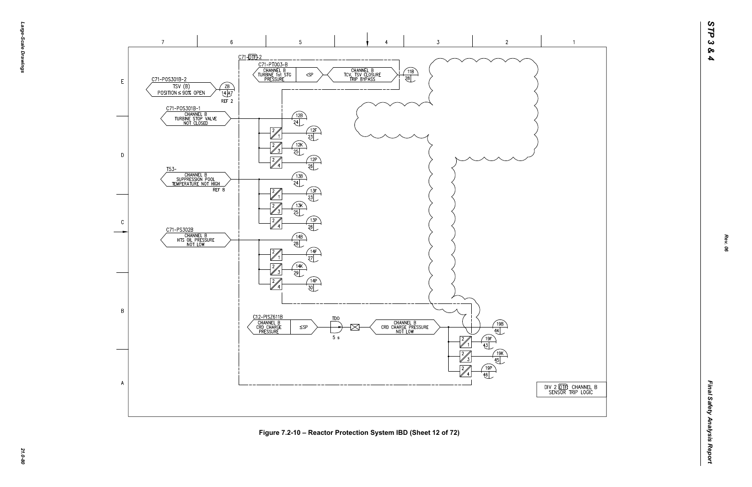



*21.0-80* **Figure 7.2-10 – Reactor Protection System IBD (Sheet 12 of 72)**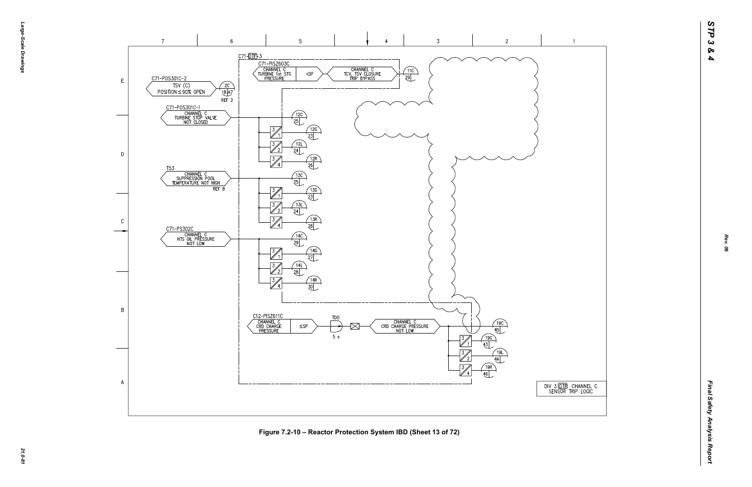



*21.0-81* **Figure 7.2-10 – Reactor Protection System IBD (Sheet 13 of 72)**

 $\overline{1}$ 

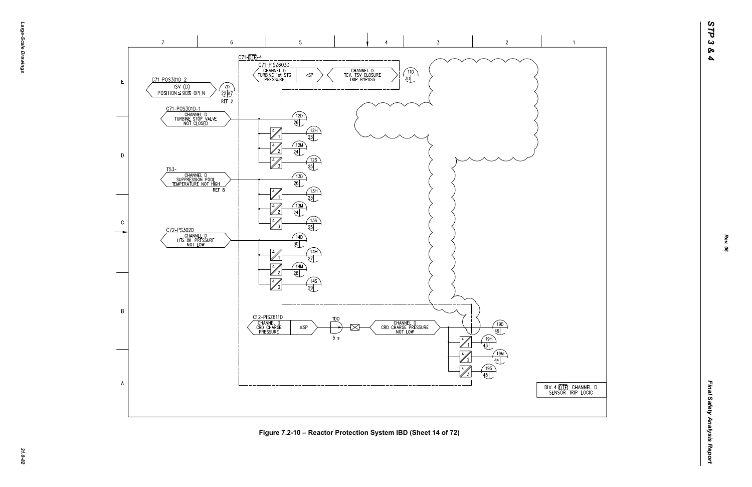





*21.0-82* **Figure 7.2-10 – Reactor Protection System IBD (Sheet 14 of 72)**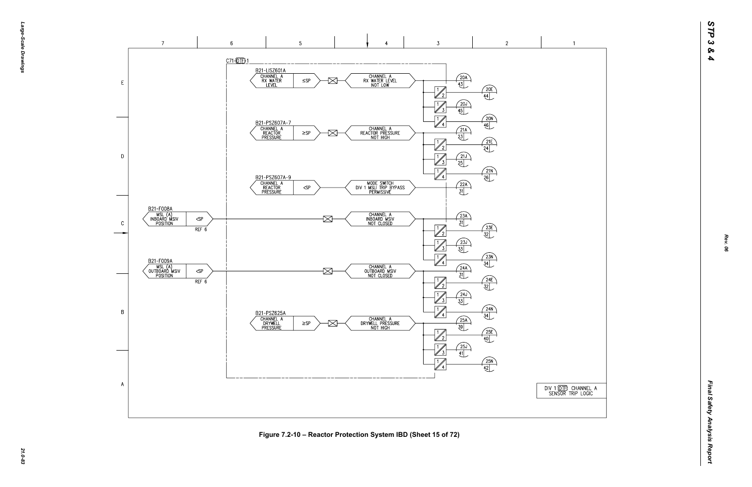



*21.0-83* **Figure 7.2-10 – Reactor Protection System IBD (Sheet 15 of 72)**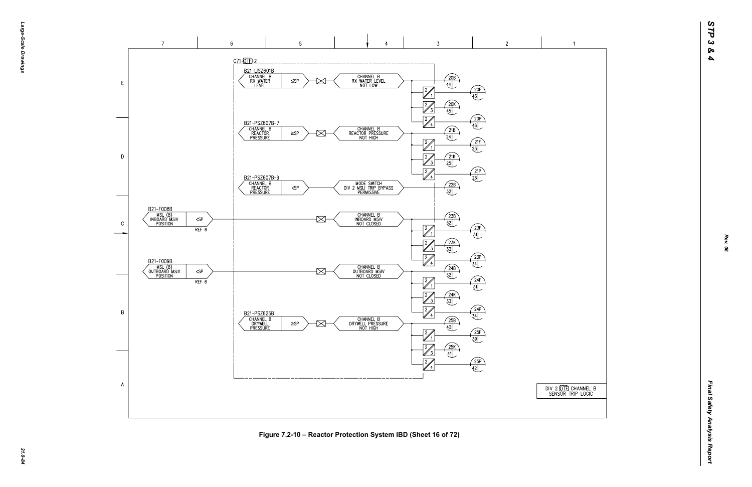



Figure 7.2-10 – Reactor Protection System IBD (Sheet 16 of 72)<br>ية<br>يُ<sup>م</sup>

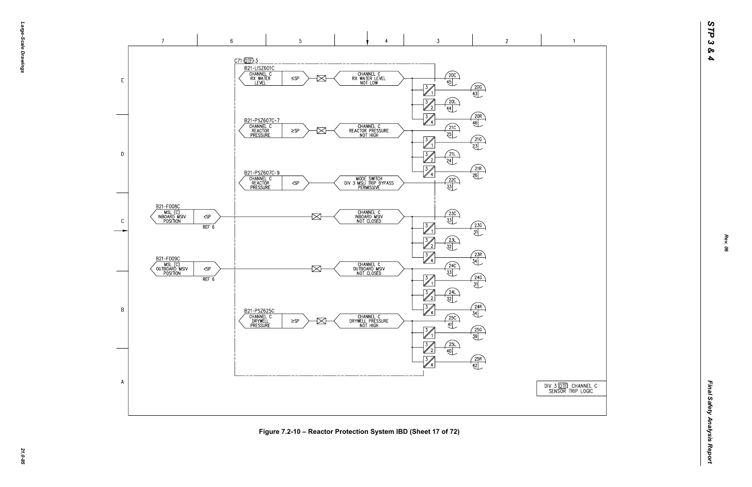

*21.0-85* **Figure 7.2-10 – Reactor Protection System IBD (Sheet 17 of 72)**

DIV 3 00 THE CHANNEL C<br>SENSOR TRIP LOGIC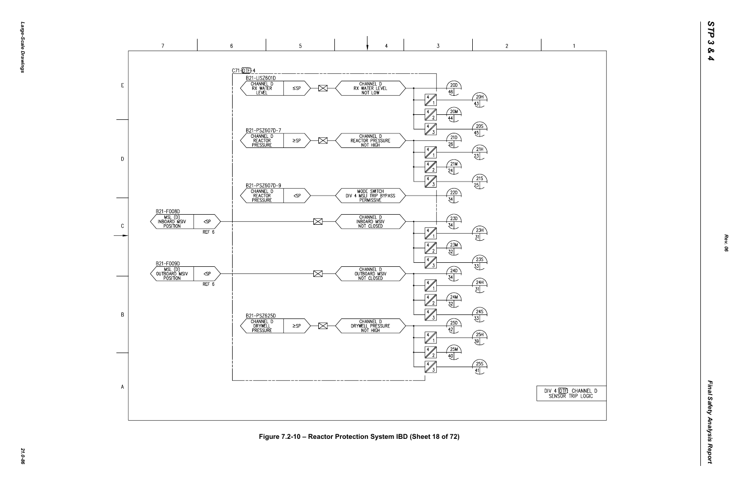DIV 4 (DTF) CHANNEL D<br>SENSOR TRIP LOGIC

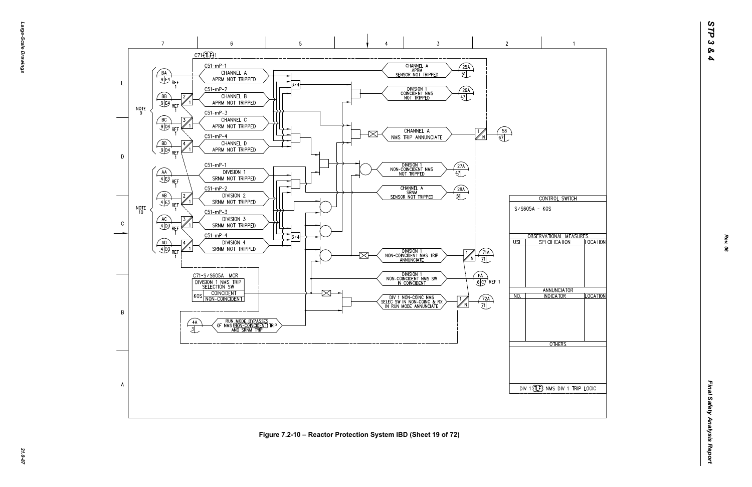

Figure 7.2-10 – Reactor Protection System IBD (Sheet 19 of 72)<br>ية<br>يُ<sup>ا</sup>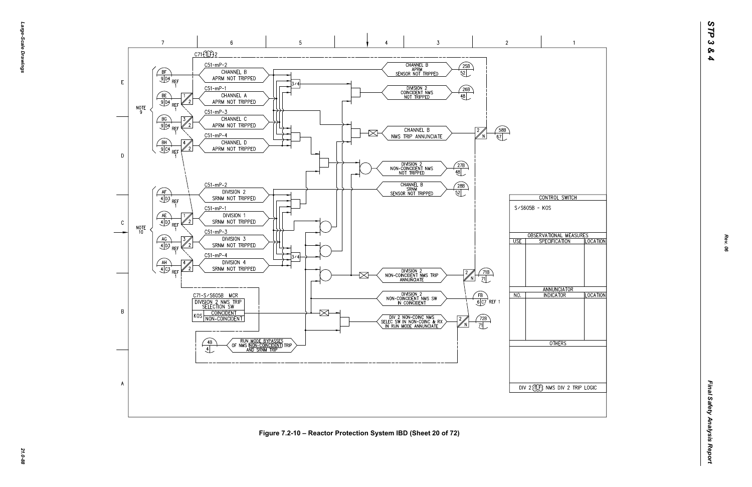

*21.0-88* **Figure 7.2-10 – Reactor Protection System IBD (Sheet 20 of 72)**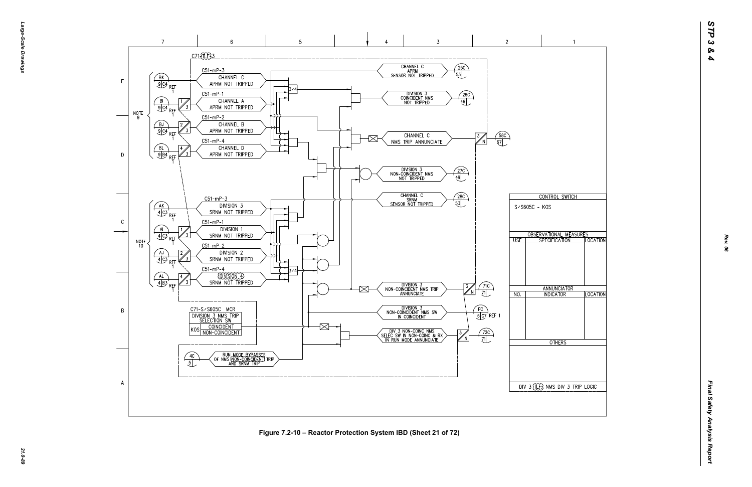

*21.0-89* **Figure 7.2-10 – Reactor Protection System IBD (Sheet 21 of 72)**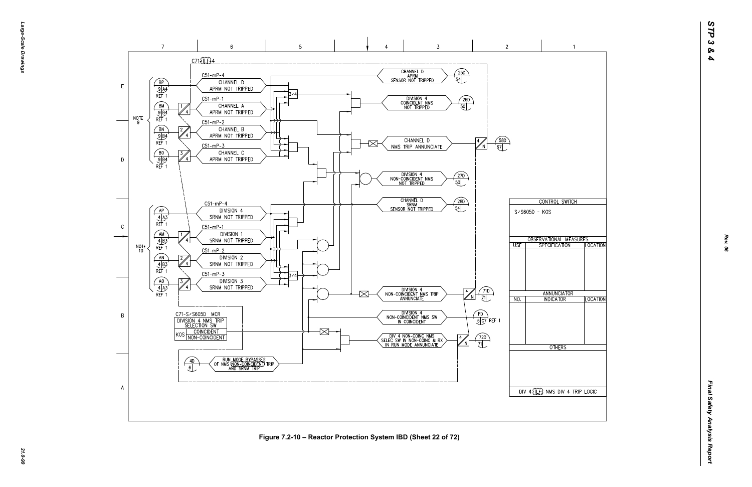*Large-Scale Drawings* arge--Scale Drawings

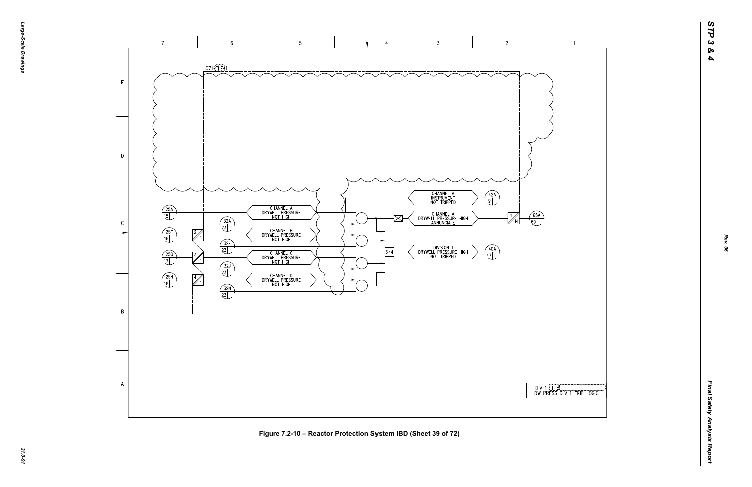

*21.0-91* **Figure 7.2-10 – Reactor Protection System IBD (Sheet 39 of 72)**

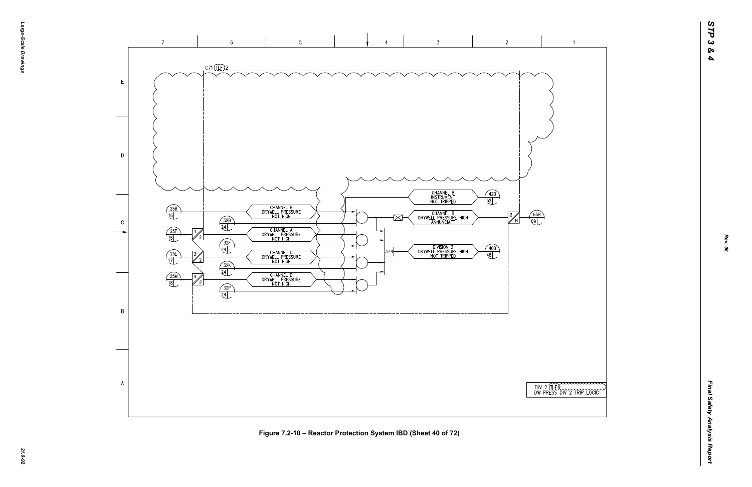

|  |  | TEROOM |  |
|--|--|--------|--|

 $\overline{1}$ 

*Rev. 06*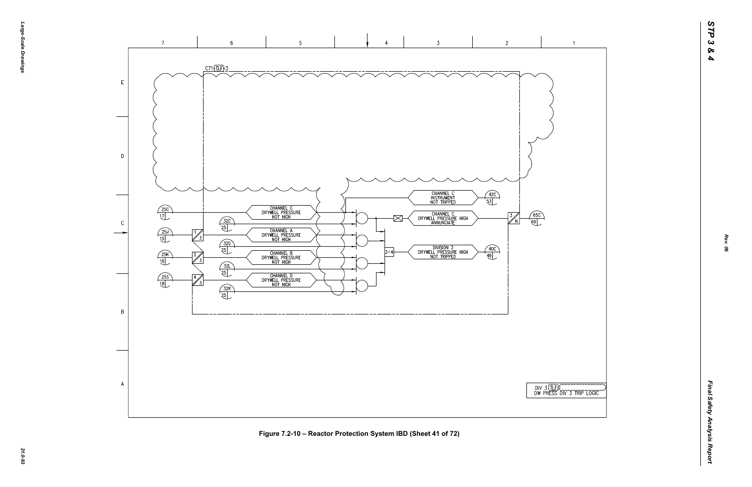

*21.0-93* **Figure 7.2-10 – Reactor Protection System IBD (Sheet 41 of 72)**

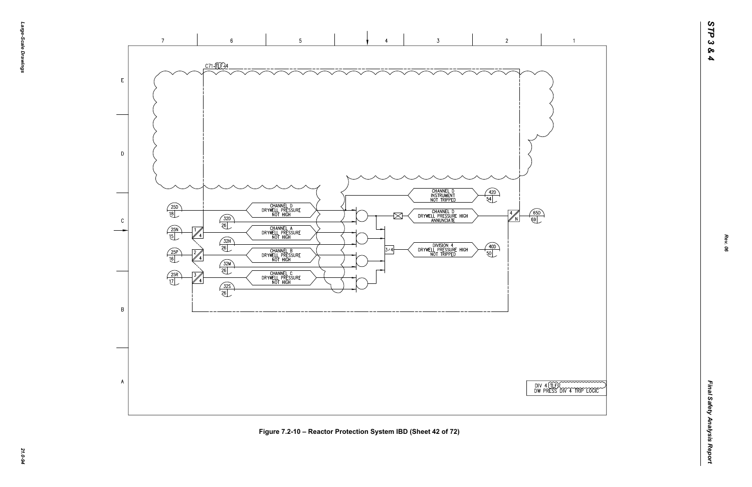



 $\overline{1}$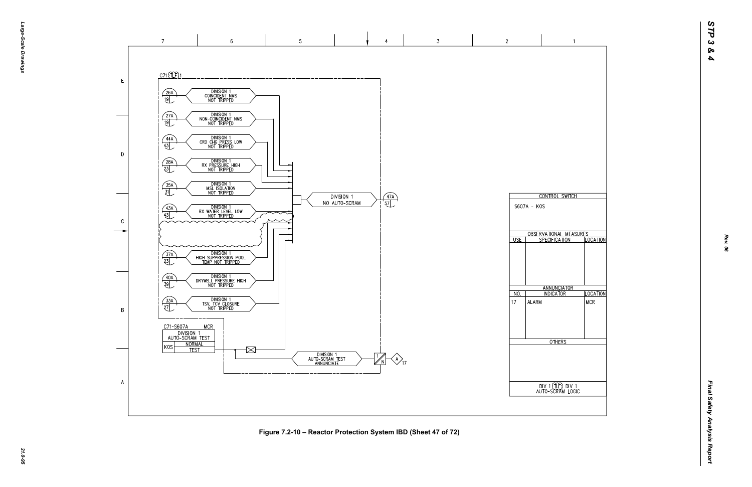

*21.0-95* **Figure 7.2-10 – Reactor Protection System IBD (Sheet 47 of 72)**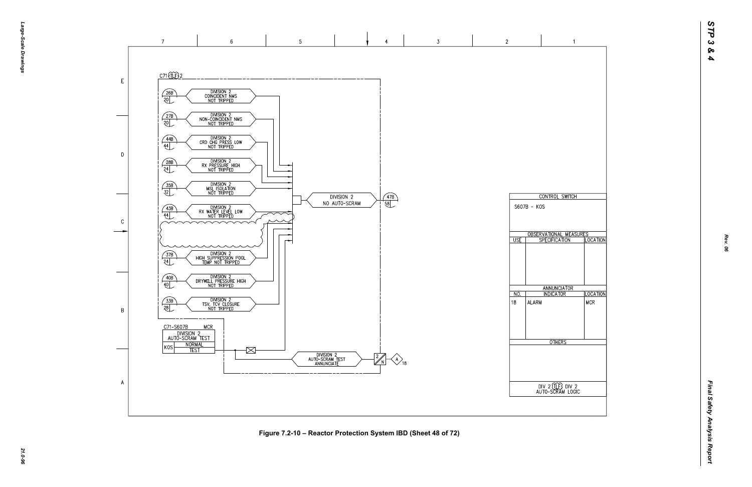

*21.0-96* **Figure 7.2-10 – Reactor Protection System IBD (Sheet 48 of 72)**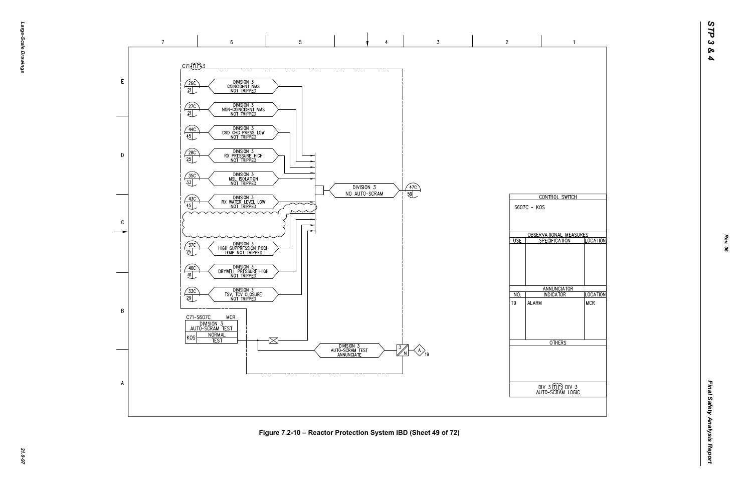*Final Safety Analysis Report* Final Safety Analysis Report



*21.0-97* **Figure 7.2-10 – Reactor Protection System IBD (Sheet 49 of 72)**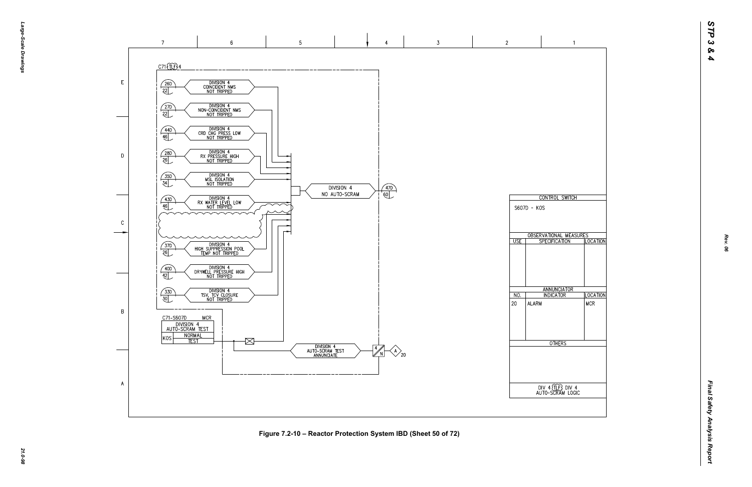![](_page_21_Figure_1.jpeg)

*21.0-98* **Figure 7.2-10 – Reactor Protection System IBD (Sheet 50 of 72)**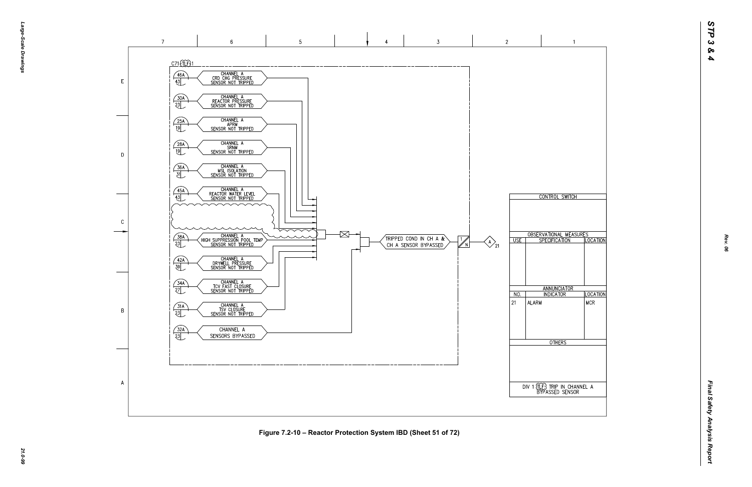*Final Safety Analysis Report* Final Safety Analysis Report

![](_page_22_Figure_0.jpeg)

![](_page_22_Figure_1.jpeg)

*21.0-99* **Figure 7.2-10 – Reactor Protection System IBD (Sheet 51 of 72)**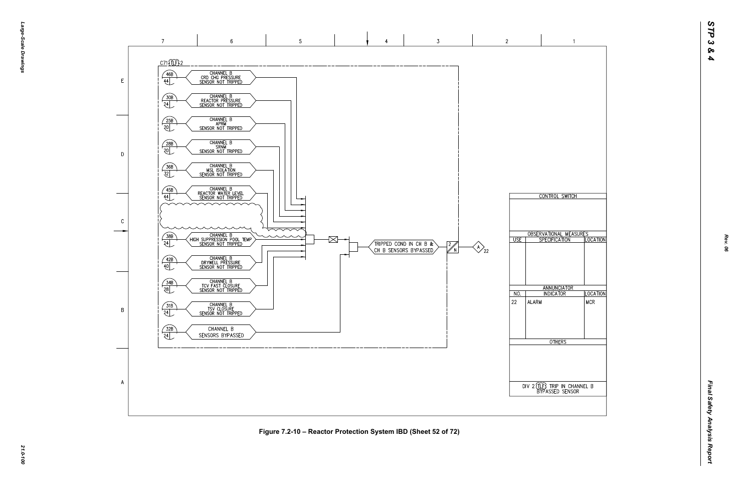![](_page_23_Figure_0.jpeg)

![](_page_23_Figure_1.jpeg)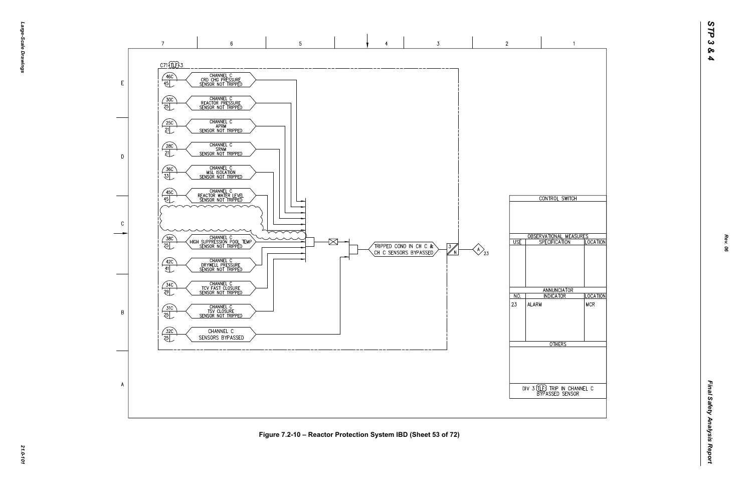![](_page_24_Figure_1.jpeg)

*21.0-101* **Figure 7.2-10 – Reactor Protection System IBD (Sheet 53 of 72)**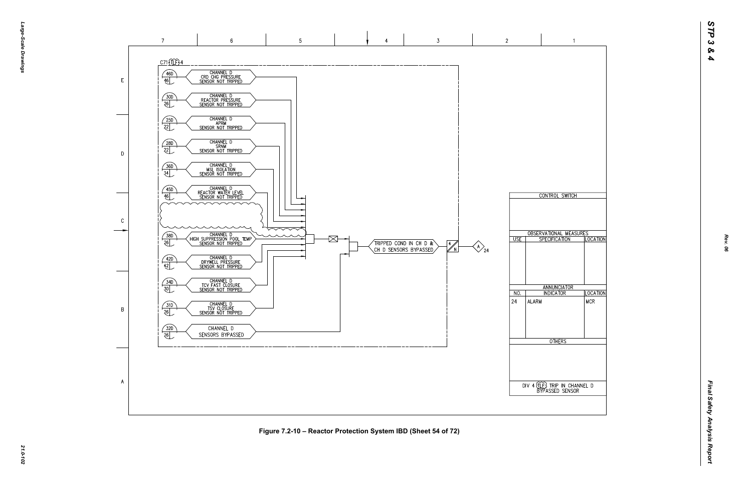![](_page_25_Figure_0.jpeg)

![](_page_25_Figure_1.jpeg)

 $\bigotimes_{24}$ 

*Final Safety Analysis Report* Final Safety Analysis Report

 $\overline{A}$ 

## *21.0-102* **Figure 7.2-10 – Reactor Protection System IBD (Sheet 54 of 72)**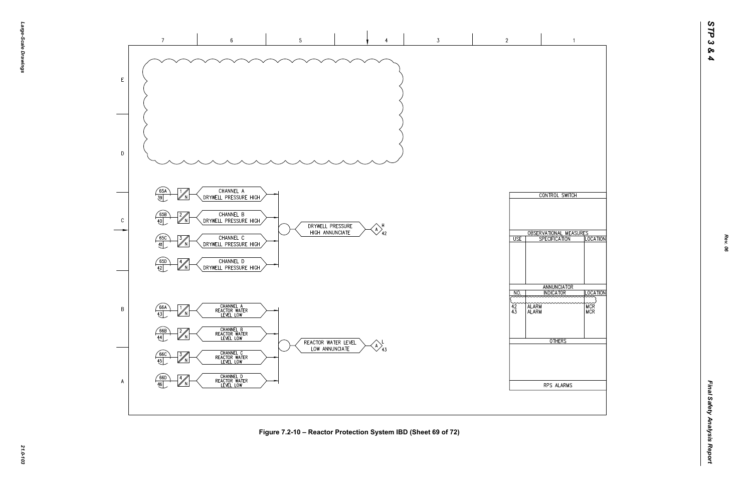![](_page_26_Figure_1.jpeg)

*21.0-103* **Figure 7.2-10 – Reactor Protection System IBD (Sheet 69 of 72)**